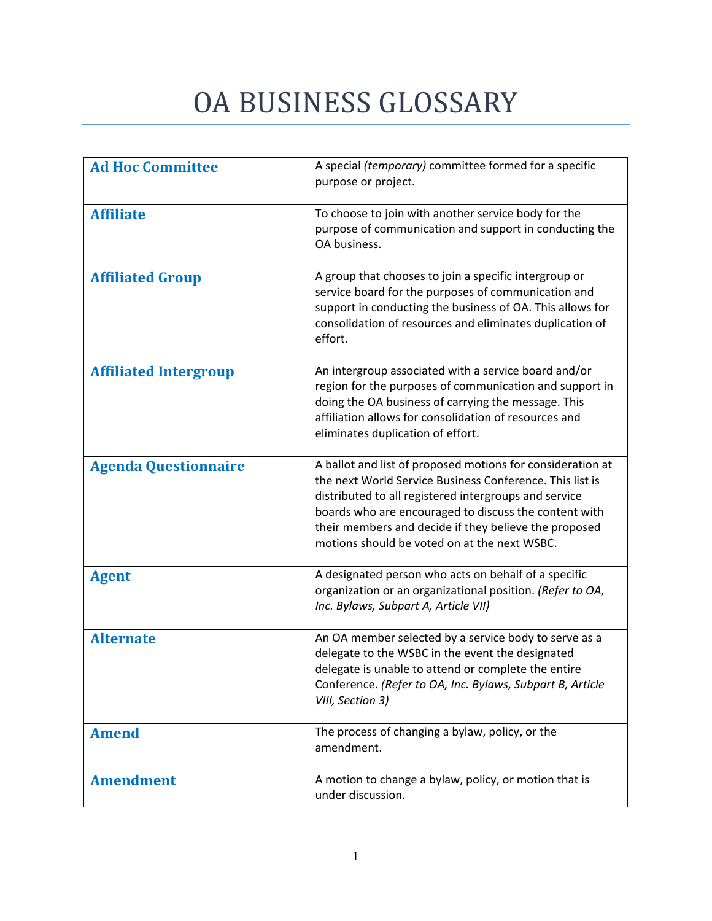## OA BUSINESS GLOSSARY

| <b>Ad Hoc Committee</b>      | A special (temporary) committee formed for a specific<br>purpose or project.                                                                                                                                                                                                                                                                      |
|------------------------------|---------------------------------------------------------------------------------------------------------------------------------------------------------------------------------------------------------------------------------------------------------------------------------------------------------------------------------------------------|
| <b>Affiliate</b>             | To choose to join with another service body for the<br>purpose of communication and support in conducting the<br>OA business.                                                                                                                                                                                                                     |
| <b>Affiliated Group</b>      | A group that chooses to join a specific intergroup or<br>service board for the purposes of communication and<br>support in conducting the business of OA. This allows for<br>consolidation of resources and eliminates duplication of<br>effort.                                                                                                  |
| <b>Affiliated Intergroup</b> | An intergroup associated with a service board and/or<br>region for the purposes of communication and support in<br>doing the OA business of carrying the message. This<br>affiliation allows for consolidation of resources and<br>eliminates duplication of effort.                                                                              |
| <b>Agenda Questionnaire</b>  | A ballot and list of proposed motions for consideration at<br>the next World Service Business Conference. This list is<br>distributed to all registered intergroups and service<br>boards who are encouraged to discuss the content with<br>their members and decide if they believe the proposed<br>motions should be voted on at the next WSBC. |
| <b>Agent</b>                 | A designated person who acts on behalf of a specific<br>organization or an organizational position. (Refer to OA,<br>Inc. Bylaws, Subpart A, Article VII)                                                                                                                                                                                         |
| <b>Alternate</b>             | An OA member selected by a service body to serve as a<br>delegate to the WSBC in the event the designated<br>delegate is unable to attend or complete the entire<br>Conference. (Refer to OA, Inc. Bylaws, Subpart B, Article<br>VIII, Section 3)                                                                                                 |
| <b>Amend</b>                 | The process of changing a bylaw, policy, or the<br>amendment.                                                                                                                                                                                                                                                                                     |
| <b>Amendment</b>             | A motion to change a bylaw, policy, or motion that is<br>under discussion.                                                                                                                                                                                                                                                                        |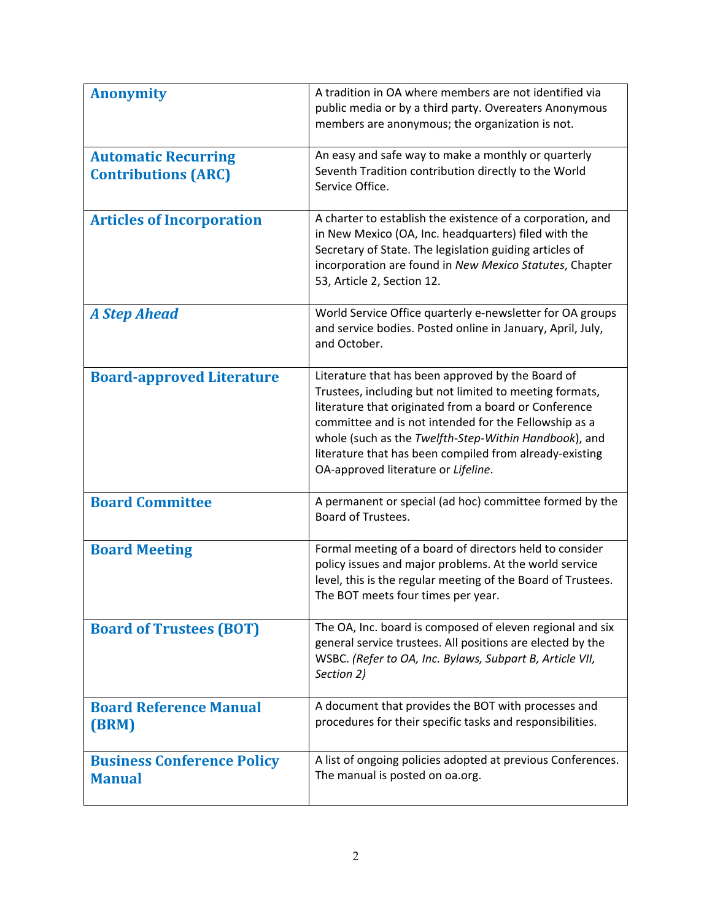| <b>Anonymity</b>                                         | A tradition in OA where members are not identified via<br>public media or by a third party. Overeaters Anonymous<br>members are anonymous; the organization is not.                                                                                                                                                                                                                       |
|----------------------------------------------------------|-------------------------------------------------------------------------------------------------------------------------------------------------------------------------------------------------------------------------------------------------------------------------------------------------------------------------------------------------------------------------------------------|
| <b>Automatic Recurring</b><br><b>Contributions (ARC)</b> | An easy and safe way to make a monthly or quarterly<br>Seventh Tradition contribution directly to the World<br>Service Office.                                                                                                                                                                                                                                                            |
| <b>Articles of Incorporation</b>                         | A charter to establish the existence of a corporation, and<br>in New Mexico (OA, Inc. headquarters) filed with the<br>Secretary of State. The legislation guiding articles of<br>incorporation are found in New Mexico Statutes, Chapter<br>53, Article 2, Section 12.                                                                                                                    |
| <b>A Step Ahead</b>                                      | World Service Office quarterly e-newsletter for OA groups<br>and service bodies. Posted online in January, April, July,<br>and October.                                                                                                                                                                                                                                                   |
| <b>Board-approved Literature</b>                         | Literature that has been approved by the Board of<br>Trustees, including but not limited to meeting formats,<br>literature that originated from a board or Conference<br>committee and is not intended for the Fellowship as a<br>whole (such as the Twelfth-Step-Within Handbook), and<br>literature that has been compiled from already-existing<br>OA-approved literature or Lifeline. |
| <b>Board Committee</b>                                   | A permanent or special (ad hoc) committee formed by the<br>Board of Trustees.                                                                                                                                                                                                                                                                                                             |
| <b>Board Meeting</b>                                     | Formal meeting of a board of directors held to consider<br>policy issues and major problems. At the world service<br>level, this is the regular meeting of the Board of Trustees.<br>The BOT meets four times per year.                                                                                                                                                                   |
| <b>Board of Trustees (BOT)</b>                           | The OA, Inc. board is composed of eleven regional and six<br>general service trustees. All positions are elected by the<br>WSBC. (Refer to OA, Inc. Bylaws, Subpart B, Article VII,<br>Section 2)                                                                                                                                                                                         |
| <b>Board Reference Manual</b><br>(BRM)                   | A document that provides the BOT with processes and<br>procedures for their specific tasks and responsibilities.                                                                                                                                                                                                                                                                          |
| <b>Business Conference Policy</b><br><b>Manual</b>       | A list of ongoing policies adopted at previous Conferences.<br>The manual is posted on oa.org.                                                                                                                                                                                                                                                                                            |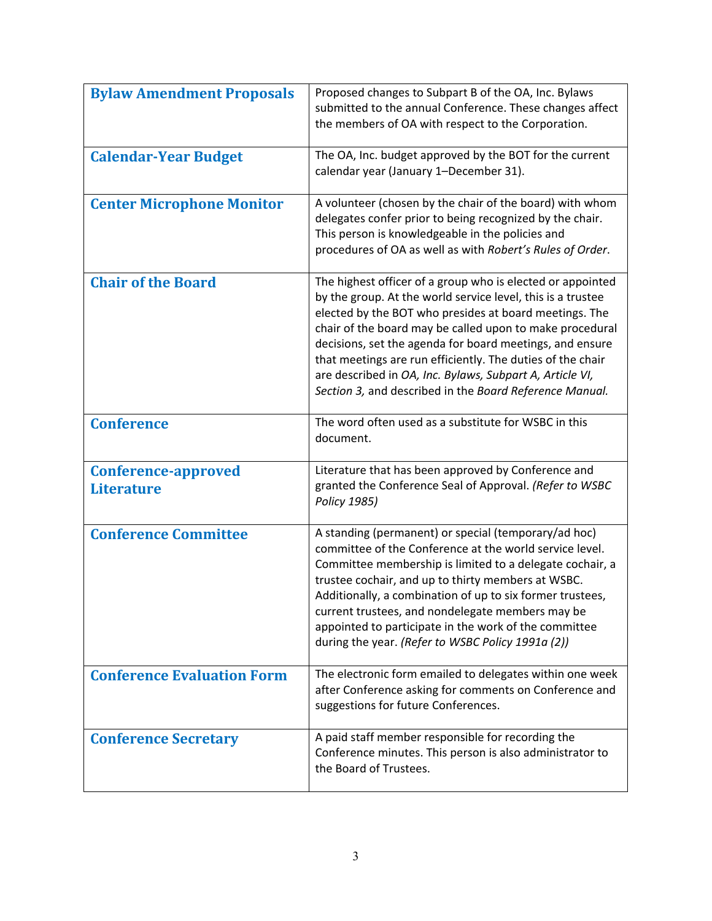| <b>Bylaw Amendment Proposals</b>                | Proposed changes to Subpart B of the OA, Inc. Bylaws<br>submitted to the annual Conference. These changes affect<br>the members of OA with respect to the Corporation.                                                                                                                                                                                                                                                                                                                           |
|-------------------------------------------------|--------------------------------------------------------------------------------------------------------------------------------------------------------------------------------------------------------------------------------------------------------------------------------------------------------------------------------------------------------------------------------------------------------------------------------------------------------------------------------------------------|
| <b>Calendar-Year Budget</b>                     | The OA, Inc. budget approved by the BOT for the current<br>calendar year (January 1-December 31).                                                                                                                                                                                                                                                                                                                                                                                                |
| <b>Center Microphone Monitor</b>                | A volunteer (chosen by the chair of the board) with whom<br>delegates confer prior to being recognized by the chair.<br>This person is knowledgeable in the policies and<br>procedures of OA as well as with Robert's Rules of Order.                                                                                                                                                                                                                                                            |
| <b>Chair of the Board</b>                       | The highest officer of a group who is elected or appointed<br>by the group. At the world service level, this is a trustee<br>elected by the BOT who presides at board meetings. The<br>chair of the board may be called upon to make procedural<br>decisions, set the agenda for board meetings, and ensure<br>that meetings are run efficiently. The duties of the chair<br>are described in OA, Inc. Bylaws, Subpart A, Article VI,<br>Section 3, and described in the Board Reference Manual. |
| <b>Conference</b>                               | The word often used as a substitute for WSBC in this<br>document.                                                                                                                                                                                                                                                                                                                                                                                                                                |
| <b>Conference-approved</b><br><b>Literature</b> | Literature that has been approved by Conference and<br>granted the Conference Seal of Approval. (Refer to WSBC<br>Policy 1985)                                                                                                                                                                                                                                                                                                                                                                   |
| <b>Conference Committee</b>                     | A standing (permanent) or special (temporary/ad hoc)<br>committee of the Conference at the world service level.<br>Committee membership is limited to a delegate cochair, a<br>trustee cochair, and up to thirty members at WSBC.<br>Additionally, a combination of up to six former trustees,<br>current trustees, and nondelegate members may be<br>appointed to participate in the work of the committee<br>during the year. (Refer to WSBC Policy 1991a (2))                                 |
| <b>Conference Evaluation Form</b>               | The electronic form emailed to delegates within one week<br>after Conference asking for comments on Conference and<br>suggestions for future Conferences.                                                                                                                                                                                                                                                                                                                                        |
| <b>Conference Secretary</b>                     | A paid staff member responsible for recording the<br>Conference minutes. This person is also administrator to<br>the Board of Trustees.                                                                                                                                                                                                                                                                                                                                                          |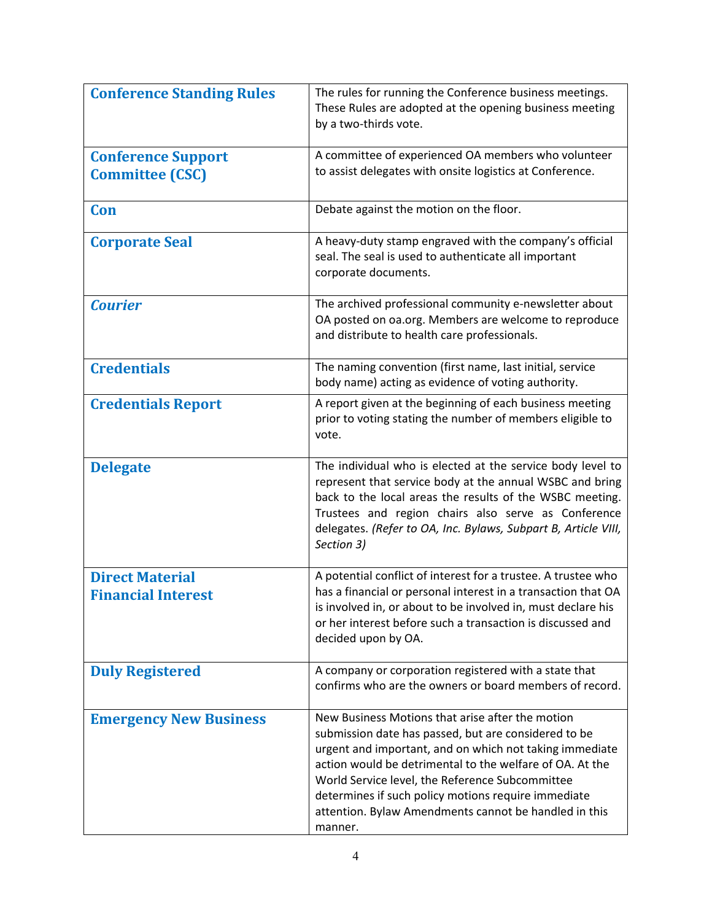| <b>Conference Standing Rules</b>                    | The rules for running the Conference business meetings.<br>These Rules are adopted at the opening business meeting<br>by a two-thirds vote.                                                                                                                                                                                                                                                                   |
|-----------------------------------------------------|---------------------------------------------------------------------------------------------------------------------------------------------------------------------------------------------------------------------------------------------------------------------------------------------------------------------------------------------------------------------------------------------------------------|
| <b>Conference Support</b><br><b>Committee (CSC)</b> | A committee of experienced OA members who volunteer<br>to assist delegates with onsite logistics at Conference.                                                                                                                                                                                                                                                                                               |
| Con                                                 | Debate against the motion on the floor.                                                                                                                                                                                                                                                                                                                                                                       |
| <b>Corporate Seal</b>                               | A heavy-duty stamp engraved with the company's official<br>seal. The seal is used to authenticate all important<br>corporate documents.                                                                                                                                                                                                                                                                       |
| <b>Courier</b>                                      | The archived professional community e-newsletter about<br>OA posted on oa.org. Members are welcome to reproduce<br>and distribute to health care professionals.                                                                                                                                                                                                                                               |
| <b>Credentials</b>                                  | The naming convention (first name, last initial, service<br>body name) acting as evidence of voting authority.                                                                                                                                                                                                                                                                                                |
| <b>Credentials Report</b>                           | A report given at the beginning of each business meeting<br>prior to voting stating the number of members eligible to<br>vote.                                                                                                                                                                                                                                                                                |
| <b>Delegate</b>                                     | The individual who is elected at the service body level to<br>represent that service body at the annual WSBC and bring<br>back to the local areas the results of the WSBC meeting.<br>Trustees and region chairs also serve as Conference<br>delegates. (Refer to OA, Inc. Bylaws, Subpart B, Article VIII,<br>Section 3)                                                                                     |
| <b>Direct Material</b><br><b>Financial Interest</b> | A potential conflict of interest for a trustee. A trustee who<br>has a financial or personal interest in a transaction that OA<br>is involved in, or about to be involved in, must declare his<br>or her interest before such a transaction is discussed and<br>decided upon by OA.                                                                                                                           |
| <b>Duly Registered</b>                              | A company or corporation registered with a state that<br>confirms who are the owners or board members of record.                                                                                                                                                                                                                                                                                              |
| <b>Emergency New Business</b>                       | New Business Motions that arise after the motion<br>submission date has passed, but are considered to be<br>urgent and important, and on which not taking immediate<br>action would be detrimental to the welfare of OA. At the<br>World Service level, the Reference Subcommittee<br>determines if such policy motions require immediate<br>attention. Bylaw Amendments cannot be handled in this<br>manner. |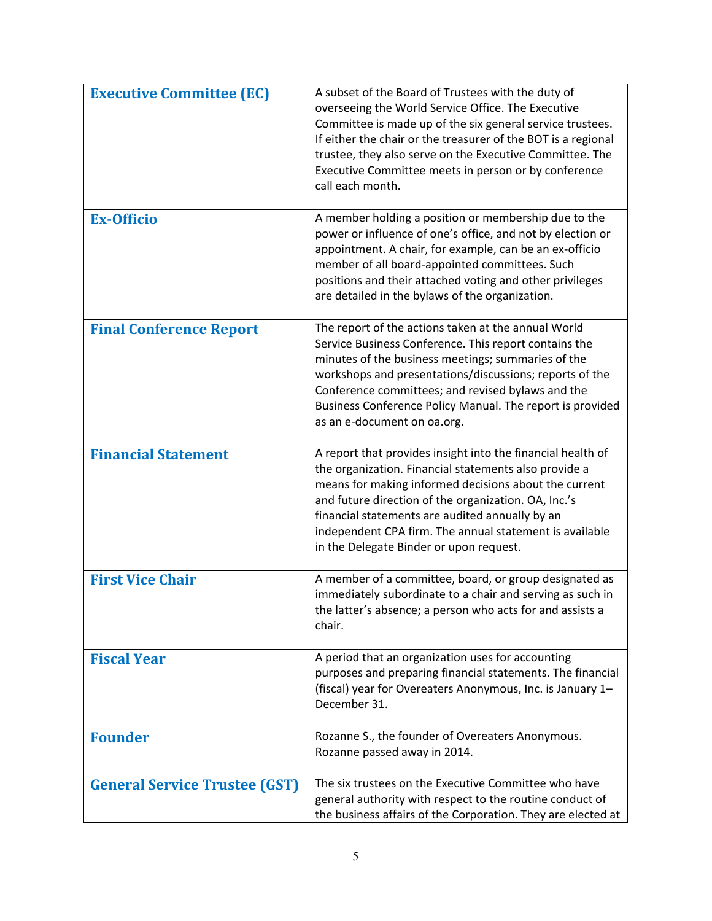| <b>Executive Committee (EC)</b>      | A subset of the Board of Trustees with the duty of<br>overseeing the World Service Office. The Executive<br>Committee is made up of the six general service trustees.<br>If either the chair or the treasurer of the BOT is a regional<br>trustee, they also serve on the Executive Committee. The<br>Executive Committee meets in person or by conference<br>call each month.                 |
|--------------------------------------|------------------------------------------------------------------------------------------------------------------------------------------------------------------------------------------------------------------------------------------------------------------------------------------------------------------------------------------------------------------------------------------------|
| <b>Ex-Officio</b>                    | A member holding a position or membership due to the<br>power or influence of one's office, and not by election or<br>appointment. A chair, for example, can be an ex-officio<br>member of all board-appointed committees. Such<br>positions and their attached voting and other privileges<br>are detailed in the bylaws of the organization.                                                 |
| <b>Final Conference Report</b>       | The report of the actions taken at the annual World<br>Service Business Conference. This report contains the<br>minutes of the business meetings; summaries of the<br>workshops and presentations/discussions; reports of the<br>Conference committees; and revised bylaws and the<br>Business Conference Policy Manual. The report is provided<br>as an e-document on oa.org.                 |
| <b>Financial Statement</b>           | A report that provides insight into the financial health of<br>the organization. Financial statements also provide a<br>means for making informed decisions about the current<br>and future direction of the organization. OA, Inc.'s<br>financial statements are audited annually by an<br>independent CPA firm. The annual statement is available<br>in the Delegate Binder or upon request. |
| <b>First Vice Chair</b>              | A member of a committee, board, or group designated as<br>immediately subordinate to a chair and serving as such in<br>the latter's absence; a person who acts for and assists a<br>chair.                                                                                                                                                                                                     |
| <b>Fiscal Year</b>                   | A period that an organization uses for accounting<br>purposes and preparing financial statements. The financial<br>(fiscal) year for Overeaters Anonymous, Inc. is January 1-<br>December 31.                                                                                                                                                                                                  |
| <b>Founder</b>                       | Rozanne S., the founder of Overeaters Anonymous.<br>Rozanne passed away in 2014.                                                                                                                                                                                                                                                                                                               |
| <b>General Service Trustee (GST)</b> | The six trustees on the Executive Committee who have<br>general authority with respect to the routine conduct of<br>the business affairs of the Corporation. They are elected at                                                                                                                                                                                                               |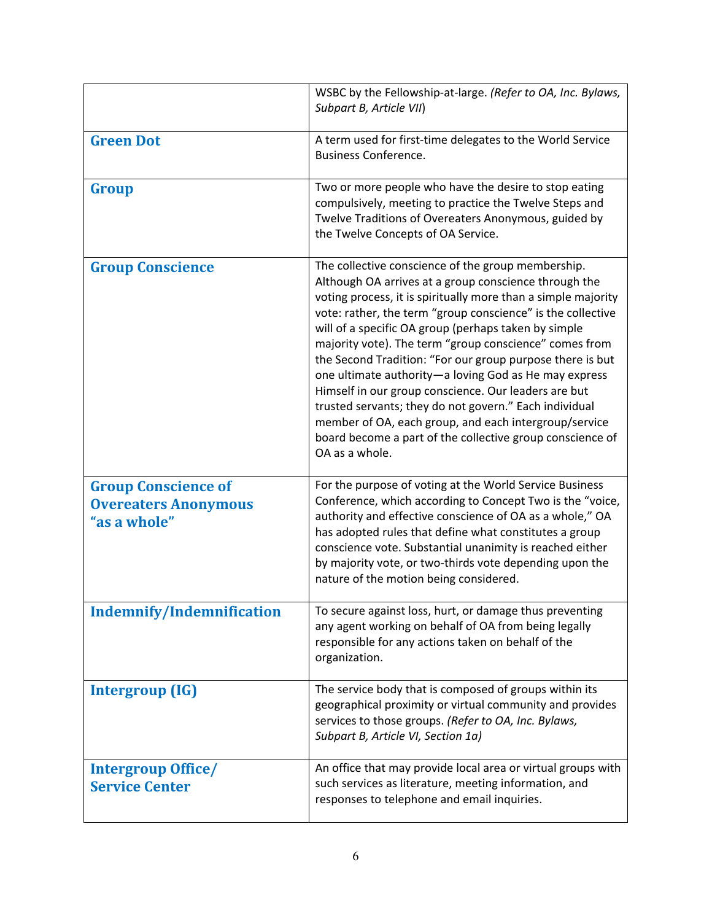|                                                                           | WSBC by the Fellowship-at-large. (Refer to OA, Inc. Bylaws,<br>Subpart B, Article VII)                                                                                                                                                                                                                                                                                                                                                                                                                                                                                                                                                                                                                                                        |
|---------------------------------------------------------------------------|-----------------------------------------------------------------------------------------------------------------------------------------------------------------------------------------------------------------------------------------------------------------------------------------------------------------------------------------------------------------------------------------------------------------------------------------------------------------------------------------------------------------------------------------------------------------------------------------------------------------------------------------------------------------------------------------------------------------------------------------------|
| <b>Green Dot</b>                                                          | A term used for first-time delegates to the World Service<br><b>Business Conference.</b>                                                                                                                                                                                                                                                                                                                                                                                                                                                                                                                                                                                                                                                      |
| Group                                                                     | Two or more people who have the desire to stop eating<br>compulsively, meeting to practice the Twelve Steps and<br>Twelve Traditions of Overeaters Anonymous, guided by<br>the Twelve Concepts of OA Service.                                                                                                                                                                                                                                                                                                                                                                                                                                                                                                                                 |
| <b>Group Conscience</b>                                                   | The collective conscience of the group membership.<br>Although OA arrives at a group conscience through the<br>voting process, it is spiritually more than a simple majority<br>vote: rather, the term "group conscience" is the collective<br>will of a specific OA group (perhaps taken by simple<br>majority vote). The term "group conscience" comes from<br>the Second Tradition: "For our group purpose there is but<br>one ultimate authority-a loving God as He may express<br>Himself in our group conscience. Our leaders are but<br>trusted servants; they do not govern." Each individual<br>member of OA, each group, and each intergroup/service<br>board become a part of the collective group conscience of<br>OA as a whole. |
| <b>Group Conscience of</b><br><b>Overeaters Anonymous</b><br>"as a whole" | For the purpose of voting at the World Service Business<br>Conference, which according to Concept Two is the "voice,<br>authority and effective conscience of OA as a whole," OA<br>has adopted rules that define what constitutes a group<br>conscience vote. Substantial unanimity is reached either<br>by majority vote, or two-thirds vote depending upon the<br>nature of the motion being considered.                                                                                                                                                                                                                                                                                                                                   |
| <b>Indemnify/Indemnification</b>                                          | To secure against loss, hurt, or damage thus preventing<br>any agent working on behalf of OA from being legally<br>responsible for any actions taken on behalf of the<br>organization.                                                                                                                                                                                                                                                                                                                                                                                                                                                                                                                                                        |
| Intergroup (IG)                                                           | The service body that is composed of groups within its<br>geographical proximity or virtual community and provides<br>services to those groups. (Refer to OA, Inc. Bylaws,<br>Subpart B, Article VI, Section 1a)                                                                                                                                                                                                                                                                                                                                                                                                                                                                                                                              |
| <b>Intergroup Office/</b><br><b>Service Center</b>                        | An office that may provide local area or virtual groups with<br>such services as literature, meeting information, and<br>responses to telephone and email inquiries.                                                                                                                                                                                                                                                                                                                                                                                                                                                                                                                                                                          |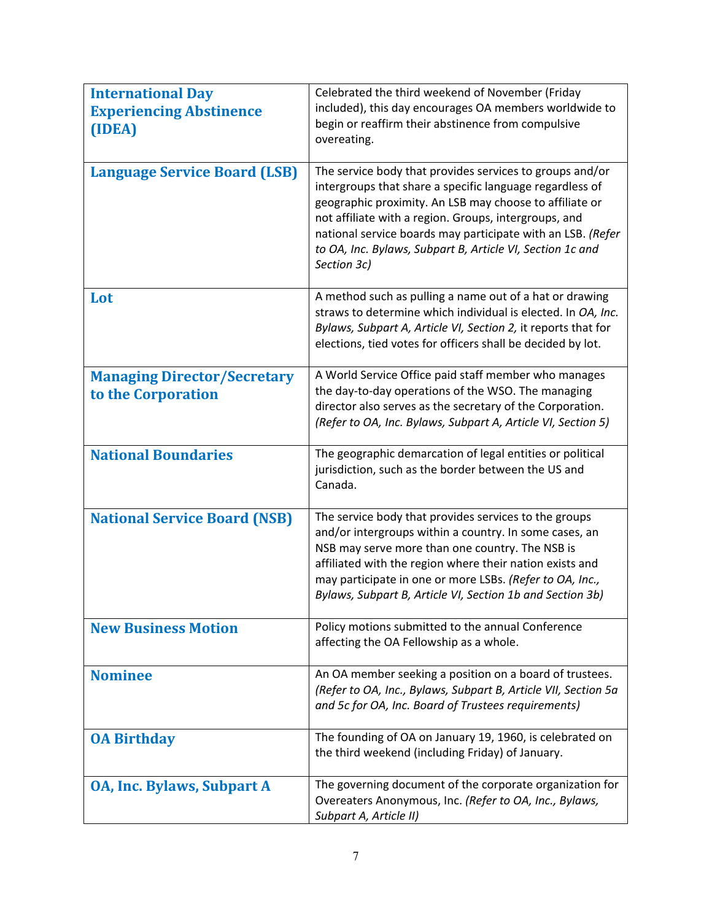| <b>International Day</b><br><b>Experiencing Abstinence</b><br>(IDEA)<br><b>Language Service Board (LSB)</b> | Celebrated the third weekend of November (Friday<br>included), this day encourages OA members worldwide to<br>begin or reaffirm their abstinence from compulsive<br>overeating.<br>The service body that provides services to groups and/or                                                                                                             |
|-------------------------------------------------------------------------------------------------------------|---------------------------------------------------------------------------------------------------------------------------------------------------------------------------------------------------------------------------------------------------------------------------------------------------------------------------------------------------------|
|                                                                                                             | intergroups that share a specific language regardless of<br>geographic proximity. An LSB may choose to affiliate or<br>not affiliate with a region. Groups, intergroups, and<br>national service boards may participate with an LSB. (Refer<br>to OA, Inc. Bylaws, Subpart B, Article VI, Section 1c and<br>Section 3c)                                 |
| Lot                                                                                                         | A method such as pulling a name out of a hat or drawing<br>straws to determine which individual is elected. In OA, Inc.<br>Bylaws, Subpart A, Article VI, Section 2, it reports that for<br>elections, tied votes for officers shall be decided by lot.                                                                                                 |
| <b>Managing Director/Secretary</b><br>to the Corporation                                                    | A World Service Office paid staff member who manages<br>the day-to-day operations of the WSO. The managing<br>director also serves as the secretary of the Corporation.<br>(Refer to OA, Inc. Bylaws, Subpart A, Article VI, Section 5)                                                                                                                 |
| <b>National Boundaries</b>                                                                                  | The geographic demarcation of legal entities or political<br>jurisdiction, such as the border between the US and<br>Canada.                                                                                                                                                                                                                             |
| <b>National Service Board (NSB)</b>                                                                         | The service body that provides services to the groups<br>and/or intergroups within a country. In some cases, an<br>NSB may serve more than one country. The NSB is<br>affiliated with the region where their nation exists and<br>may participate in one or more LSBs. (Refer to OA, Inc.,<br>Bylaws, Subpart B, Article VI, Section 1b and Section 3b) |
| <b>New Business Motion</b>                                                                                  | Policy motions submitted to the annual Conference<br>affecting the OA Fellowship as a whole.                                                                                                                                                                                                                                                            |
| <b>Nominee</b>                                                                                              | An OA member seeking a position on a board of trustees.<br>(Refer to OA, Inc., Bylaws, Subpart B, Article VII, Section 5a<br>and 5c for OA, Inc. Board of Trustees requirements)                                                                                                                                                                        |
| <b>OA Birthday</b>                                                                                          | The founding of OA on January 19, 1960, is celebrated on<br>the third weekend (including Friday) of January.                                                                                                                                                                                                                                            |
| <b>OA, Inc. Bylaws, Subpart A</b>                                                                           | The governing document of the corporate organization for<br>Overeaters Anonymous, Inc. (Refer to OA, Inc., Bylaws,<br>Subpart A, Article II)                                                                                                                                                                                                            |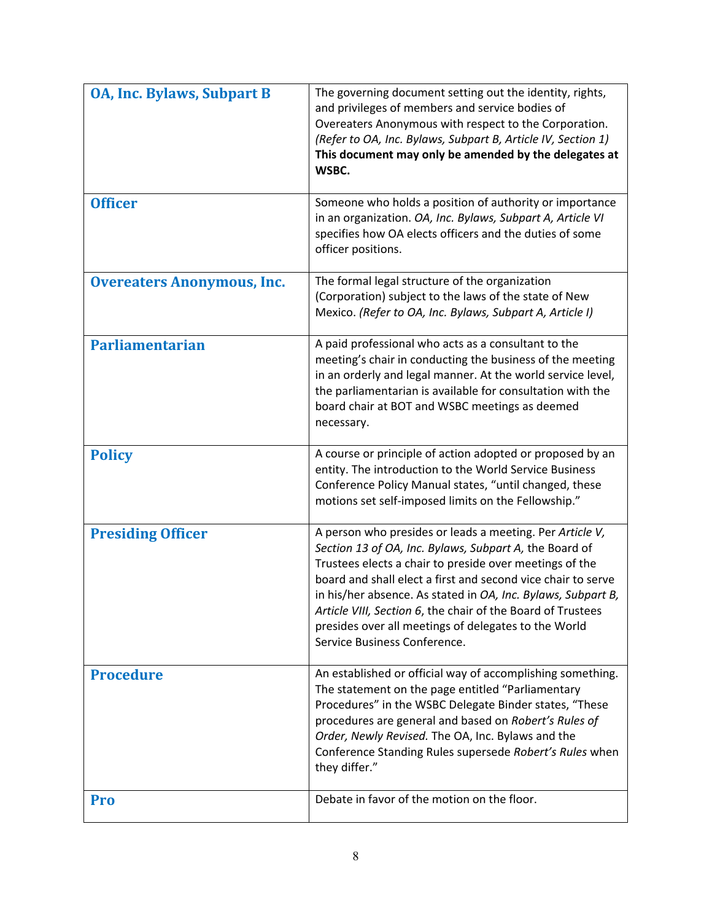| <b>OA, Inc. Bylaws, Subpart B</b> | The governing document setting out the identity, rights,<br>and privileges of members and service bodies of<br>Overeaters Anonymous with respect to the Corporation.<br>(Refer to OA, Inc. Bylaws, Subpart B, Article IV, Section 1)<br>This document may only be amended by the delegates at<br>WSBC.                                                                                                                                                               |
|-----------------------------------|----------------------------------------------------------------------------------------------------------------------------------------------------------------------------------------------------------------------------------------------------------------------------------------------------------------------------------------------------------------------------------------------------------------------------------------------------------------------|
| <b>Officer</b>                    | Someone who holds a position of authority or importance<br>in an organization. OA, Inc. Bylaws, Subpart A, Article VI<br>specifies how OA elects officers and the duties of some<br>officer positions.                                                                                                                                                                                                                                                               |
| <b>Overeaters Anonymous, Inc.</b> | The formal legal structure of the organization<br>(Corporation) subject to the laws of the state of New<br>Mexico. (Refer to OA, Inc. Bylaws, Subpart A, Article I)                                                                                                                                                                                                                                                                                                  |
| <b>Parliamentarian</b>            | A paid professional who acts as a consultant to the<br>meeting's chair in conducting the business of the meeting<br>in an orderly and legal manner. At the world service level,<br>the parliamentarian is available for consultation with the<br>board chair at BOT and WSBC meetings as deemed<br>necessary.                                                                                                                                                        |
| <b>Policy</b>                     | A course or principle of action adopted or proposed by an<br>entity. The introduction to the World Service Business<br>Conference Policy Manual states, "until changed, these<br>motions set self-imposed limits on the Fellowship."                                                                                                                                                                                                                                 |
| <b>Presiding Officer</b>          | A person who presides or leads a meeting. Per Article V,<br>Section 13 of OA, Inc. Bylaws, Subpart A, the Board of<br>Trustees elects a chair to preside over meetings of the<br>board and shall elect a first and second vice chair to serve<br>in his/her absence. As stated in OA, Inc. Bylaws, Subpart B,<br>Article VIII, Section 6, the chair of the Board of Trustees<br>presides over all meetings of delegates to the World<br>Service Business Conference. |
| <b>Procedure</b>                  | An established or official way of accomplishing something.<br>The statement on the page entitled "Parliamentary<br>Procedures" in the WSBC Delegate Binder states, "These<br>procedures are general and based on Robert's Rules of<br>Order, Newly Revised. The OA, Inc. Bylaws and the<br>Conference Standing Rules supersede Robert's Rules when<br>they differ."                                                                                                  |
| Pro                               | Debate in favor of the motion on the floor.                                                                                                                                                                                                                                                                                                                                                                                                                          |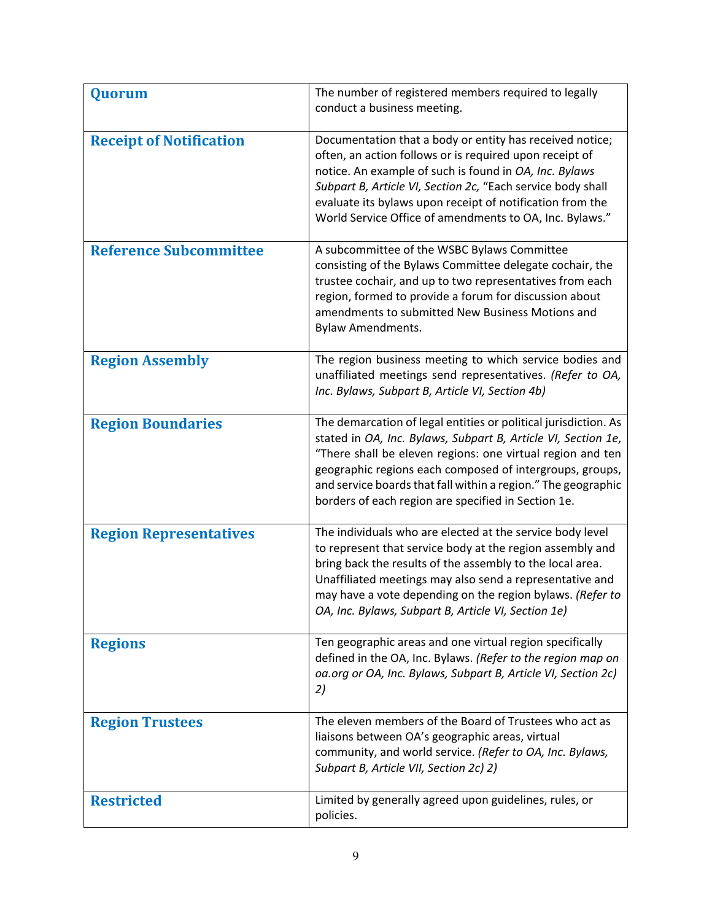| Quorum                         | The number of registered members required to legally<br>conduct a business meeting.                                                                                                                                                                                                                                                                                                |
|--------------------------------|------------------------------------------------------------------------------------------------------------------------------------------------------------------------------------------------------------------------------------------------------------------------------------------------------------------------------------------------------------------------------------|
| <b>Receipt of Notification</b> | Documentation that a body or entity has received notice;<br>often, an action follows or is required upon receipt of<br>notice. An example of such is found in OA, Inc. Bylaws<br>Subpart B, Article VI, Section 2c, "Each service body shall<br>evaluate its bylaws upon receipt of notification from the<br>World Service Office of amendments to OA, Inc. Bylaws."               |
| <b>Reference Subcommittee</b>  | A subcommittee of the WSBC Bylaws Committee<br>consisting of the Bylaws Committee delegate cochair, the<br>trustee cochair, and up to two representatives from each<br>region, formed to provide a forum for discussion about<br>amendments to submitted New Business Motions and<br><b>Bylaw Amendments.</b>                                                                      |
| <b>Region Assembly</b>         | The region business meeting to which service bodies and<br>unaffiliated meetings send representatives. (Refer to OA,<br>Inc. Bylaws, Subpart B, Article VI, Section 4b)                                                                                                                                                                                                            |
| <b>Region Boundaries</b>       | The demarcation of legal entities or political jurisdiction. As<br>stated in OA, Inc. Bylaws, Subpart B, Article VI, Section 1e,<br>"There shall be eleven regions: one virtual region and ten<br>geographic regions each composed of intergroups, groups,<br>and service boards that fall within a region." The geographic<br>borders of each region are specified in Section 1e. |
| <b>Region Representatives</b>  | The individuals who are elected at the service body level<br>to represent that service body at the region assembly and<br>bring back the results of the assembly to the local area.<br>Unaffiliated meetings may also send a representative and<br>may have a vote depending on the region bylaws. (Refer to<br>OA, Inc. Bylaws, Subpart B, Article VI, Section 1e)                |
| <b>Regions</b>                 | Ten geographic areas and one virtual region specifically<br>defined in the OA, Inc. Bylaws. (Refer to the region map on<br>oa.org or OA, Inc. Bylaws, Subpart B, Article VI, Section 2c)<br>2)                                                                                                                                                                                     |
| <b>Region Trustees</b>         | The eleven members of the Board of Trustees who act as<br>liaisons between OA's geographic areas, virtual<br>community, and world service. (Refer to OA, Inc. Bylaws,<br>Subpart B, Article VII, Section 2c) 2)                                                                                                                                                                    |
| <b>Restricted</b>              | Limited by generally agreed upon guidelines, rules, or<br>policies.                                                                                                                                                                                                                                                                                                                |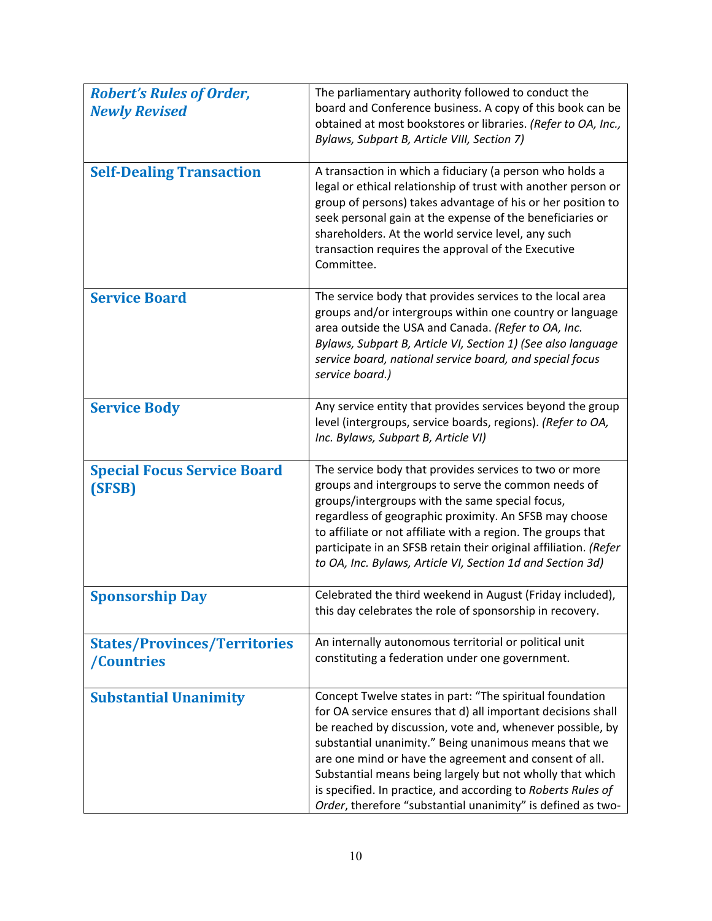| <b>Robert's Rules of Order,</b>                   | The parliamentary authority followed to conduct the                                                                                                                                                                                                                                                                                                                                                                                                                                                  |
|---------------------------------------------------|------------------------------------------------------------------------------------------------------------------------------------------------------------------------------------------------------------------------------------------------------------------------------------------------------------------------------------------------------------------------------------------------------------------------------------------------------------------------------------------------------|
| <b>Newly Revised</b>                              | board and Conference business. A copy of this book can be<br>obtained at most bookstores or libraries. (Refer to OA, Inc.,                                                                                                                                                                                                                                                                                                                                                                           |
|                                                   | Bylaws, Subpart B, Article VIII, Section 7)                                                                                                                                                                                                                                                                                                                                                                                                                                                          |
| <b>Self-Dealing Transaction</b>                   | A transaction in which a fiduciary (a person who holds a<br>legal or ethical relationship of trust with another person or<br>group of persons) takes advantage of his or her position to<br>seek personal gain at the expense of the beneficiaries or<br>shareholders. At the world service level, any such<br>transaction requires the approval of the Executive<br>Committee.                                                                                                                      |
| <b>Service Board</b>                              | The service body that provides services to the local area<br>groups and/or intergroups within one country or language<br>area outside the USA and Canada. (Refer to OA, Inc.<br>Bylaws, Subpart B, Article VI, Section 1) (See also language<br>service board, national service board, and special focus<br>service board.)                                                                                                                                                                          |
| <b>Service Body</b>                               | Any service entity that provides services beyond the group<br>level (intergroups, service boards, regions). (Refer to OA,<br>Inc. Bylaws, Subpart B, Article VI)                                                                                                                                                                                                                                                                                                                                     |
| <b>Special Focus Service Board</b><br>(SFSB)      | The service body that provides services to two or more<br>groups and intergroups to serve the common needs of<br>groups/intergroups with the same special focus,<br>regardless of geographic proximity. An SFSB may choose<br>to affiliate or not affiliate with a region. The groups that<br>participate in an SFSB retain their original affiliation. (Refer<br>to OA, Inc. Bylaws, Article VI, Section 1d and Section 3d)                                                                         |
| <b>Sponsorship Day</b>                            | Celebrated the third weekend in August (Friday included),<br>this day celebrates the role of sponsorship in recovery.                                                                                                                                                                                                                                                                                                                                                                                |
| <b>States/Provinces/Territories</b><br>/Countries | An internally autonomous territorial or political unit<br>constituting a federation under one government.                                                                                                                                                                                                                                                                                                                                                                                            |
| <b>Substantial Unanimity</b>                      | Concept Twelve states in part: "The spiritual foundation<br>for OA service ensures that d) all important decisions shall<br>be reached by discussion, vote and, whenever possible, by<br>substantial unanimity." Being unanimous means that we<br>are one mind or have the agreement and consent of all.<br>Substantial means being largely but not wholly that which<br>is specified. In practice, and according to Roberts Rules of<br>Order, therefore "substantial unanimity" is defined as two- |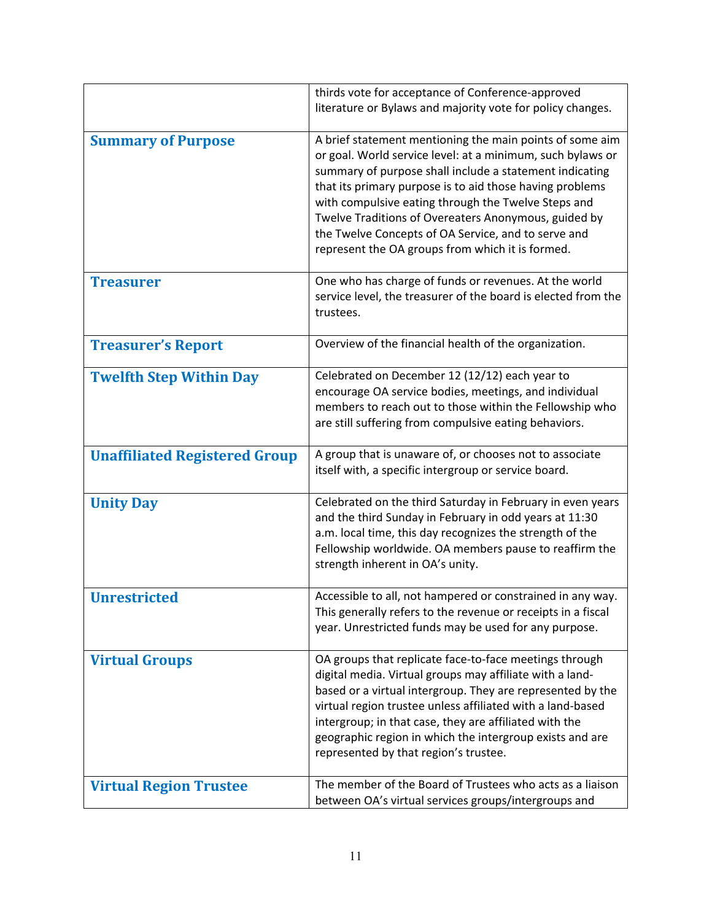|                                      | thirds vote for acceptance of Conference-approved<br>literature or Bylaws and majority vote for policy changes.                                                                                                                                                                                                                                                                                                                                                         |
|--------------------------------------|-------------------------------------------------------------------------------------------------------------------------------------------------------------------------------------------------------------------------------------------------------------------------------------------------------------------------------------------------------------------------------------------------------------------------------------------------------------------------|
| <b>Summary of Purpose</b>            | A brief statement mentioning the main points of some aim<br>or goal. World service level: at a minimum, such bylaws or<br>summary of purpose shall include a statement indicating<br>that its primary purpose is to aid those having problems<br>with compulsive eating through the Twelve Steps and<br>Twelve Traditions of Overeaters Anonymous, guided by<br>the Twelve Concepts of OA Service, and to serve and<br>represent the OA groups from which it is formed. |
| <b>Treasurer</b>                     | One who has charge of funds or revenues. At the world<br>service level, the treasurer of the board is elected from the<br>trustees.                                                                                                                                                                                                                                                                                                                                     |
| <b>Treasurer's Report</b>            | Overview of the financial health of the organization.                                                                                                                                                                                                                                                                                                                                                                                                                   |
| <b>Twelfth Step Within Day</b>       | Celebrated on December 12 (12/12) each year to<br>encourage OA service bodies, meetings, and individual<br>members to reach out to those within the Fellowship who<br>are still suffering from compulsive eating behaviors.                                                                                                                                                                                                                                             |
| <b>Unaffiliated Registered Group</b> | A group that is unaware of, or chooses not to associate<br>itself with, a specific intergroup or service board.                                                                                                                                                                                                                                                                                                                                                         |
| <b>Unity Day</b>                     | Celebrated on the third Saturday in February in even years<br>and the third Sunday in February in odd years at 11:30<br>a.m. local time, this day recognizes the strength of the<br>Fellowship worldwide. OA members pause to reaffirm the<br>strength inherent in OA's unity.                                                                                                                                                                                          |
| <b>Unrestricted</b>                  | Accessible to all, not hampered or constrained in any way.<br>This generally refers to the revenue or receipts in a fiscal<br>year. Unrestricted funds may be used for any purpose.                                                                                                                                                                                                                                                                                     |
| <b>Virtual Groups</b>                | OA groups that replicate face-to-face meetings through<br>digital media. Virtual groups may affiliate with a land-<br>based or a virtual intergroup. They are represented by the<br>virtual region trustee unless affiliated with a land-based<br>intergroup; in that case, they are affiliated with the<br>geographic region in which the intergroup exists and are<br>represented by that region's trustee.                                                           |
| <b>Virtual Region Trustee</b>        | The member of the Board of Trustees who acts as a liaison<br>between OA's virtual services groups/intergroups and                                                                                                                                                                                                                                                                                                                                                       |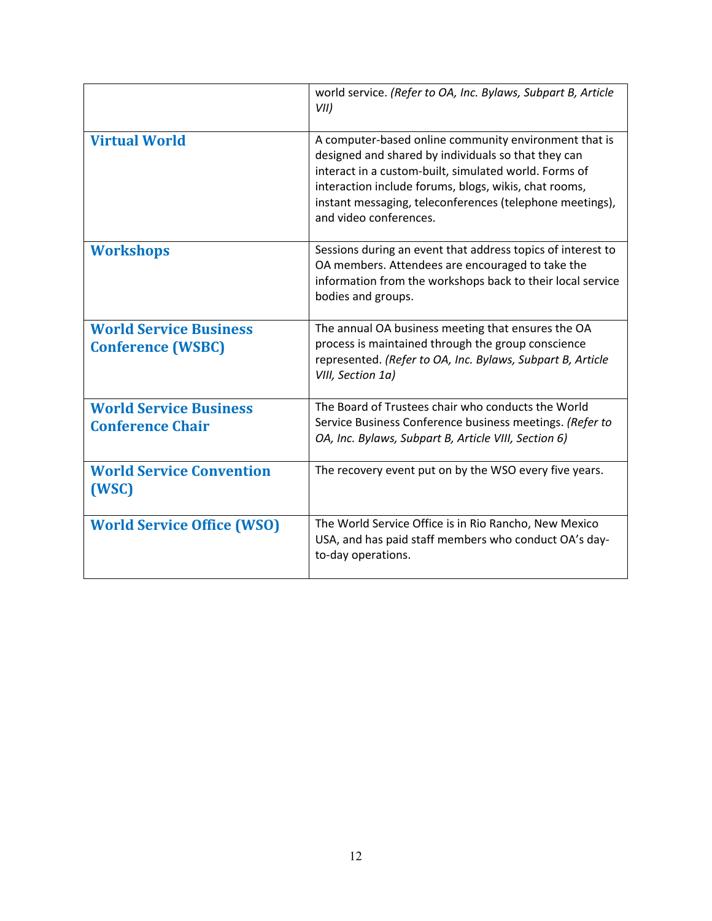|                                                           | world service. (Refer to OA, Inc. Bylaws, Subpart B, Article<br>VII)                                                                                                                                                                                                                                                 |
|-----------------------------------------------------------|----------------------------------------------------------------------------------------------------------------------------------------------------------------------------------------------------------------------------------------------------------------------------------------------------------------------|
| <b>Virtual World</b>                                      | A computer-based online community environment that is<br>designed and shared by individuals so that they can<br>interact in a custom-built, simulated world. Forms of<br>interaction include forums, blogs, wikis, chat rooms,<br>instant messaging, teleconferences (telephone meetings),<br>and video conferences. |
| <b>Workshops</b>                                          | Sessions during an event that address topics of interest to<br>OA members. Attendees are encouraged to take the<br>information from the workshops back to their local service<br>bodies and groups.                                                                                                                  |
| <b>World Service Business</b><br><b>Conference (WSBC)</b> | The annual OA business meeting that ensures the OA<br>process is maintained through the group conscience<br>represented. (Refer to OA, Inc. Bylaws, Subpart B, Article<br>VIII, Section 1a)                                                                                                                          |
| <b>World Service Business</b><br><b>Conference Chair</b>  | The Board of Trustees chair who conducts the World<br>Service Business Conference business meetings. (Refer to<br>OA, Inc. Bylaws, Subpart B, Article VIII, Section 6)                                                                                                                                               |
| <b>World Service Convention</b><br>(WSC)                  | The recovery event put on by the WSO every five years.                                                                                                                                                                                                                                                               |
| <b>World Service Office (WSO)</b>                         | The World Service Office is in Rio Rancho, New Mexico<br>USA, and has paid staff members who conduct OA's day-<br>to-day operations.                                                                                                                                                                                 |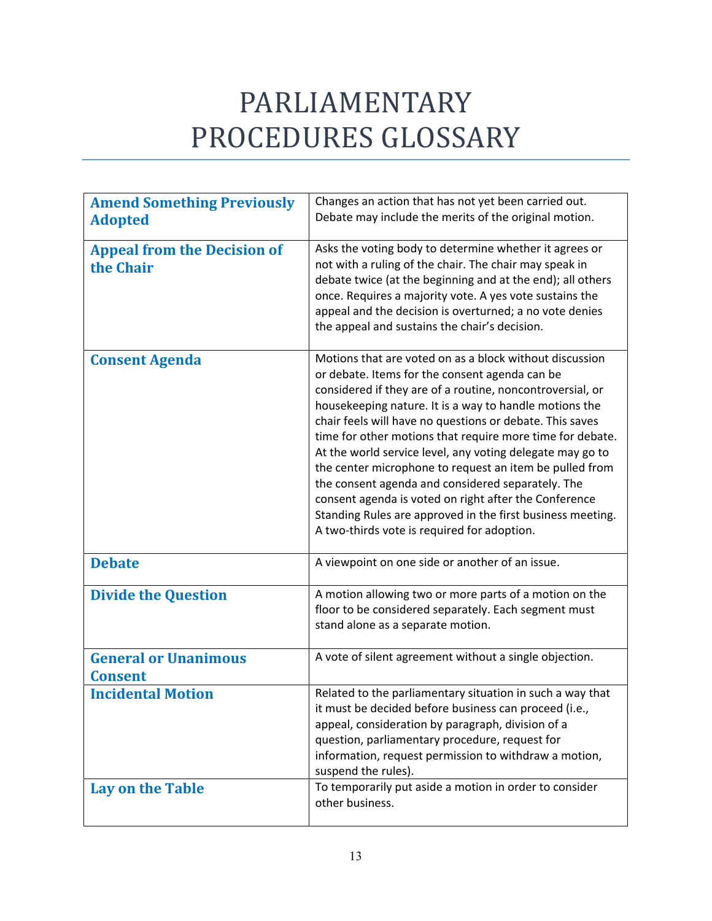## PARLIAMENTARY PROCEDURES GLOSSARY

| <b>Amend Something Previously</b><br><b>Adopted</b> | Changes an action that has not yet been carried out.<br>Debate may include the merits of the original motion.                                                                                                                                                                                                                                                                                                                                                                                                                                                                                                                                                                                                |
|-----------------------------------------------------|--------------------------------------------------------------------------------------------------------------------------------------------------------------------------------------------------------------------------------------------------------------------------------------------------------------------------------------------------------------------------------------------------------------------------------------------------------------------------------------------------------------------------------------------------------------------------------------------------------------------------------------------------------------------------------------------------------------|
| <b>Appeal from the Decision of</b><br>the Chair     | Asks the voting body to determine whether it agrees or<br>not with a ruling of the chair. The chair may speak in<br>debate twice (at the beginning and at the end); all others<br>once. Requires a majority vote. A yes vote sustains the<br>appeal and the decision is overturned; a no vote denies<br>the appeal and sustains the chair's decision.                                                                                                                                                                                                                                                                                                                                                        |
| <b>Consent Agenda</b>                               | Motions that are voted on as a block without discussion<br>or debate. Items for the consent agenda can be<br>considered if they are of a routine, noncontroversial, or<br>housekeeping nature. It is a way to handle motions the<br>chair feels will have no questions or debate. This saves<br>time for other motions that require more time for debate.<br>At the world service level, any voting delegate may go to<br>the center microphone to request an item be pulled from<br>the consent agenda and considered separately. The<br>consent agenda is voted on right after the Conference<br>Standing Rules are approved in the first business meeting.<br>A two-thirds vote is required for adoption. |
| <b>Debate</b>                                       | A viewpoint on one side or another of an issue.                                                                                                                                                                                                                                                                                                                                                                                                                                                                                                                                                                                                                                                              |
| <b>Divide the Question</b>                          | A motion allowing two or more parts of a motion on the<br>floor to be considered separately. Each segment must<br>stand alone as a separate motion.                                                                                                                                                                                                                                                                                                                                                                                                                                                                                                                                                          |
| <b>General or Unanimous</b><br><b>Consent</b>       | A vote of silent agreement without a single objection.                                                                                                                                                                                                                                                                                                                                                                                                                                                                                                                                                                                                                                                       |
| <b>Incidental Motion</b>                            | Related to the parliamentary situation in such a way that<br>it must be decided before business can proceed (i.e.,<br>appeal, consideration by paragraph, division of a<br>question, parliamentary procedure, request for<br>information, request permission to withdraw a motion,<br>suspend the rules).                                                                                                                                                                                                                                                                                                                                                                                                    |
| <b>Lay on the Table</b>                             | To temporarily put aside a motion in order to consider<br>other business.                                                                                                                                                                                                                                                                                                                                                                                                                                                                                                                                                                                                                                    |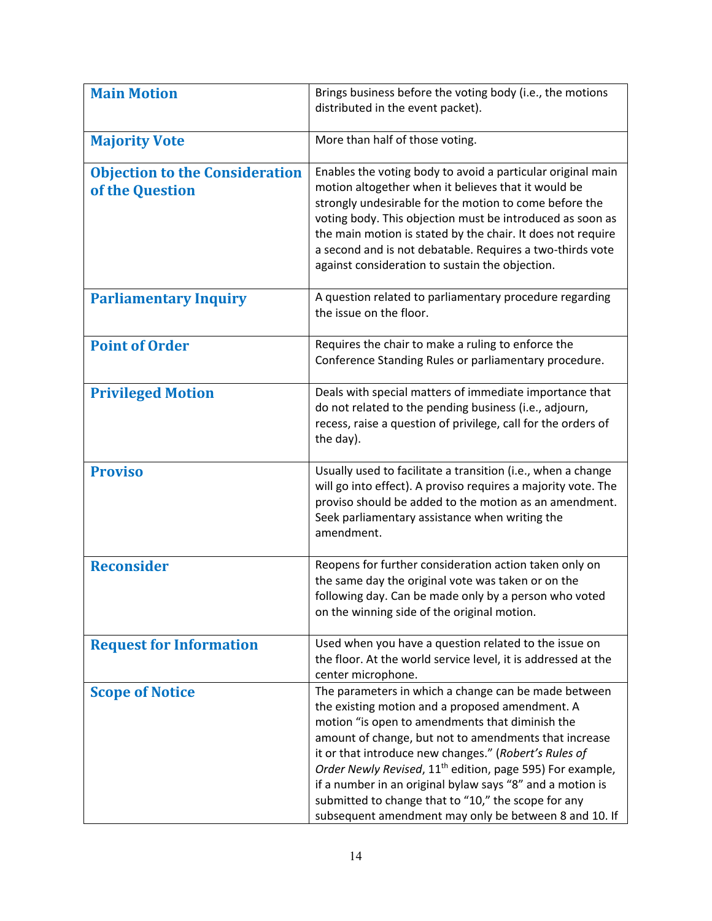| <b>Main Motion</b>                                       | Brings business before the voting body (i.e., the motions<br>distributed in the event packet).                                                                                                                                                                                                                                                                                                                                                                                                                                     |
|----------------------------------------------------------|------------------------------------------------------------------------------------------------------------------------------------------------------------------------------------------------------------------------------------------------------------------------------------------------------------------------------------------------------------------------------------------------------------------------------------------------------------------------------------------------------------------------------------|
| <b>Majority Vote</b>                                     | More than half of those voting.                                                                                                                                                                                                                                                                                                                                                                                                                                                                                                    |
| <b>Objection to the Consideration</b><br>of the Question | Enables the voting body to avoid a particular original main<br>motion altogether when it believes that it would be<br>strongly undesirable for the motion to come before the<br>voting body. This objection must be introduced as soon as<br>the main motion is stated by the chair. It does not require<br>a second and is not debatable. Requires a two-thirds vote<br>against consideration to sustain the objection.                                                                                                           |
| <b>Parliamentary Inquiry</b>                             | A question related to parliamentary procedure regarding<br>the issue on the floor.                                                                                                                                                                                                                                                                                                                                                                                                                                                 |
| <b>Point of Order</b>                                    | Requires the chair to make a ruling to enforce the<br>Conference Standing Rules or parliamentary procedure.                                                                                                                                                                                                                                                                                                                                                                                                                        |
| <b>Privileged Motion</b>                                 | Deals with special matters of immediate importance that<br>do not related to the pending business (i.e., adjourn,<br>recess, raise a question of privilege, call for the orders of<br>the day).                                                                                                                                                                                                                                                                                                                                    |
| <b>Proviso</b>                                           | Usually used to facilitate a transition (i.e., when a change<br>will go into effect). A proviso requires a majority vote. The<br>proviso should be added to the motion as an amendment.<br>Seek parliamentary assistance when writing the<br>amendment.                                                                                                                                                                                                                                                                            |
| <b>Reconsider</b>                                        | Reopens for further consideration action taken only on<br>the same day the original vote was taken or on the<br>following day. Can be made only by a person who voted<br>on the winning side of the original motion.                                                                                                                                                                                                                                                                                                               |
| <b>Request for Information</b>                           | Used when you have a question related to the issue on<br>the floor. At the world service level, it is addressed at the<br>center microphone.                                                                                                                                                                                                                                                                                                                                                                                       |
| <b>Scope of Notice</b>                                   | The parameters in which a change can be made between<br>the existing motion and a proposed amendment. A<br>motion "is open to amendments that diminish the<br>amount of change, but not to amendments that increase<br>it or that introduce new changes." (Robert's Rules of<br>Order Newly Revised, 11 <sup>th</sup> edition, page 595) For example,<br>if a number in an original bylaw says "8" and a motion is<br>submitted to change that to "10," the scope for any<br>subsequent amendment may only be between 8 and 10. If |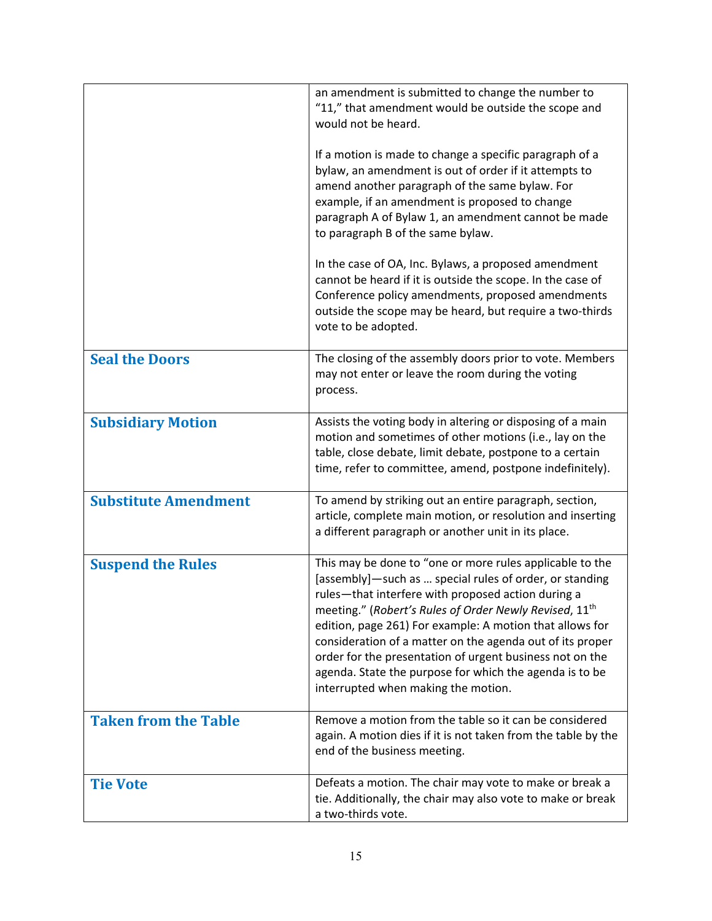|                             | an amendment is submitted to change the number to<br>"11," that amendment would be outside the scope and<br>would not be heard.<br>If a motion is made to change a specific paragraph of a<br>bylaw, an amendment is out of order if it attempts to<br>amend another paragraph of the same bylaw. For<br>example, if an amendment is proposed to change<br>paragraph A of Bylaw 1, an amendment cannot be made<br>to paragraph B of the same bylaw.<br>In the case of OA, Inc. Bylaws, a proposed amendment<br>cannot be heard if it is outside the scope. In the case of<br>Conference policy amendments, proposed amendments<br>outside the scope may be heard, but require a two-thirds<br>vote to be adopted. |
|-----------------------------|-------------------------------------------------------------------------------------------------------------------------------------------------------------------------------------------------------------------------------------------------------------------------------------------------------------------------------------------------------------------------------------------------------------------------------------------------------------------------------------------------------------------------------------------------------------------------------------------------------------------------------------------------------------------------------------------------------------------|
| <b>Seal the Doors</b>       | The closing of the assembly doors prior to vote. Members<br>may not enter or leave the room during the voting<br>process.                                                                                                                                                                                                                                                                                                                                                                                                                                                                                                                                                                                         |
| <b>Subsidiary Motion</b>    | Assists the voting body in altering or disposing of a main<br>motion and sometimes of other motions (i.e., lay on the<br>table, close debate, limit debate, postpone to a certain<br>time, refer to committee, amend, postpone indefinitely).                                                                                                                                                                                                                                                                                                                                                                                                                                                                     |
| <b>Substitute Amendment</b> | To amend by striking out an entire paragraph, section,<br>article, complete main motion, or resolution and inserting<br>a different paragraph or another unit in its place.                                                                                                                                                                                                                                                                                                                                                                                                                                                                                                                                       |
| <b>Suspend the Rules</b>    | This may be done to "one or more rules applicable to the<br>[assembly]—such as  special rules of order, or standing<br>rules-that interfere with proposed action during a<br>meeting." (Robert's Rules of Order Newly Revised, 11th<br>edition, page 261) For example: A motion that allows for<br>consideration of a matter on the agenda out of its proper<br>order for the presentation of urgent business not on the<br>agenda. State the purpose for which the agenda is to be<br>interrupted when making the motion.                                                                                                                                                                                        |
| <b>Taken from the Table</b> | Remove a motion from the table so it can be considered<br>again. A motion dies if it is not taken from the table by the<br>end of the business meeting.                                                                                                                                                                                                                                                                                                                                                                                                                                                                                                                                                           |
| <b>Tie Vote</b>             | Defeats a motion. The chair may vote to make or break a<br>tie. Additionally, the chair may also vote to make or break<br>a two-thirds vote.                                                                                                                                                                                                                                                                                                                                                                                                                                                                                                                                                                      |